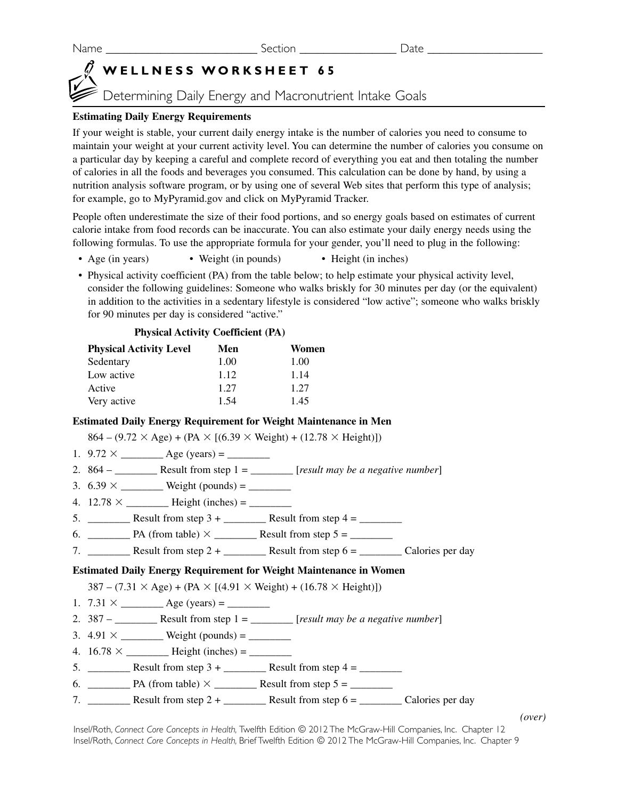Name **Section** Section **Date**  $\overline{a}$ 

# **WELLNESS WORKSHEET 65**

 $\widehat{\mathbb{F}}$  Determining Daily Energy and Macronutrient Intake Goals

## **Estimating Daily Energy Requirements**

If your weight is stable, your current daily energy intake is the number of calories you need to consume to maintain your weight at your current activity level. You can determine the number of calories you consume on a particular day by keeping a careful and complete record of everything you eat and then totaling the number of calories in all the foods and beverages you consumed. This calculation can be done by hand, by using a nutrition analysis software program, or by using one of several Web sites that perform this type of analysis; for example, go to MyPyramid.gov and click on MyPyramid Tracker.

People often underestimate the size of their food portions, and so energy goals based on estimates of current calorie intake from food records can be inaccurate. You can also estimate your daily energy needs using the following formulas. To use the appropriate formula for your gender, you'll need to plug in the following:

- Age (in years) Weight (in pounds) Height (in inches)
- Physical activity coefficient (PA) from the table below; to help estimate your physical activity level, consider the following guidelines: Someone who walks briskly for 30 minutes per day (or the equivalent) in addition to the activities in a sedentary lifestyle is considered "low active"; someone who walks briskly for 90 minutes per day is considered "active."

## **Physical Activity Coefficient (PA)**

| <b>Physical Activity Level</b> | Men  | Women |
|--------------------------------|------|-------|
| Sedentary                      | 1.00 | 1.00  |
| Low active                     | 1.12 | 1.14  |
| Active                         | 1.27 | 1.27  |
| Very active                    | 1.54 | 1.45  |

## **Estimated Daily Energy Requirement for Weight Maintenance in Men**

 $864 - (9.72 \times Age) + (PA \times [(6.39 \times Weight) + (12.78 \times Height)]$ 

- 1.  $9.72 \times$  \_\_\_\_\_\_\_\_\_\_\_ Age (years) = \_\_\_\_\_\_\_\_
- 2.  $864 -$  \_\_\_\_\_\_\_\_\_\_\_\_ Result from step  $1 =$  \_\_\_\_\_\_\_\_\_\_\_ [*result may be a negative number*]
- 3.  $6.39 \times$  \_\_\_\_\_\_\_\_\_\_ Weight (pounds) = \_\_\_\_\_\_
- 4. 12.78 \_\_\_\_\_\_\_\_ Height (inches) = \_\_\_\_\_\_\_\_
- 5.  $\_\_\_\_\_\_\_\_\_\_\_\_\_\_\_\_\_\_\_\_\_\_\_\_\_\_\_\_\_\_\_\_$
- 6. \_\_\_\_\_\_\_\_ PA (from table) \_\_\_\_\_\_\_\_ Result from step 5 = \_\_\_\_\_\_\_\_
- 7. Result from step 2 +  $\qquad \qquad$  Result from step 6 =  $\qquad \qquad$  Calories per day

#### **Estimated Daily Energy Requirement for Weight Maintenance in Women**

 $387 - (7.31 \times Age) + (PA \times [(4.91 \times Weight) + (16.78 \times Height)]$ 

1. 7.31 \_\_\_\_\_\_\_\_ Age (years) = \_\_\_\_\_\_\_\_

- 2. 387 \_\_\_\_\_\_\_\_ Result from step 1 = \_\_\_\_\_\_\_\_ [*result may be a negative number*]
- 3.  $4.91 \times$  \_\_\_\_\_\_\_\_\_\_\_ Weight (pounds) = \_\_\_\_\_
- 4.  $16.78 \times$  Height (inches) =
- 5. \_\_\_\_\_\_\_\_ Result from step 3 + \_\_\_\_\_\_\_\_ Result from step 4 = \_\_\_\_\_\_\_\_
- 6. \_\_\_\_\_\_\_\_ PA (from table) \_\_\_\_\_\_\_\_ Result from step 5 = \_\_\_\_\_\_\_\_
- 7. \_\_\_\_\_\_\_\_\_ Result from step 2 + \_\_\_\_\_\_\_\_\_ Result from step  $6 =$  \_\_\_\_\_\_\_\_\_ Calories per day

Insel/Roth, *Connect Core Concepts in Health,* Twelfth Edition © 2012 The McGraw-Hill Companies, Inc. Chapter 12 Insel/Roth, *Connect Core Concepts in Health,* Brief Twelfth Edition © 2012 The McGraw-Hill Companies, Inc. Chapter 9